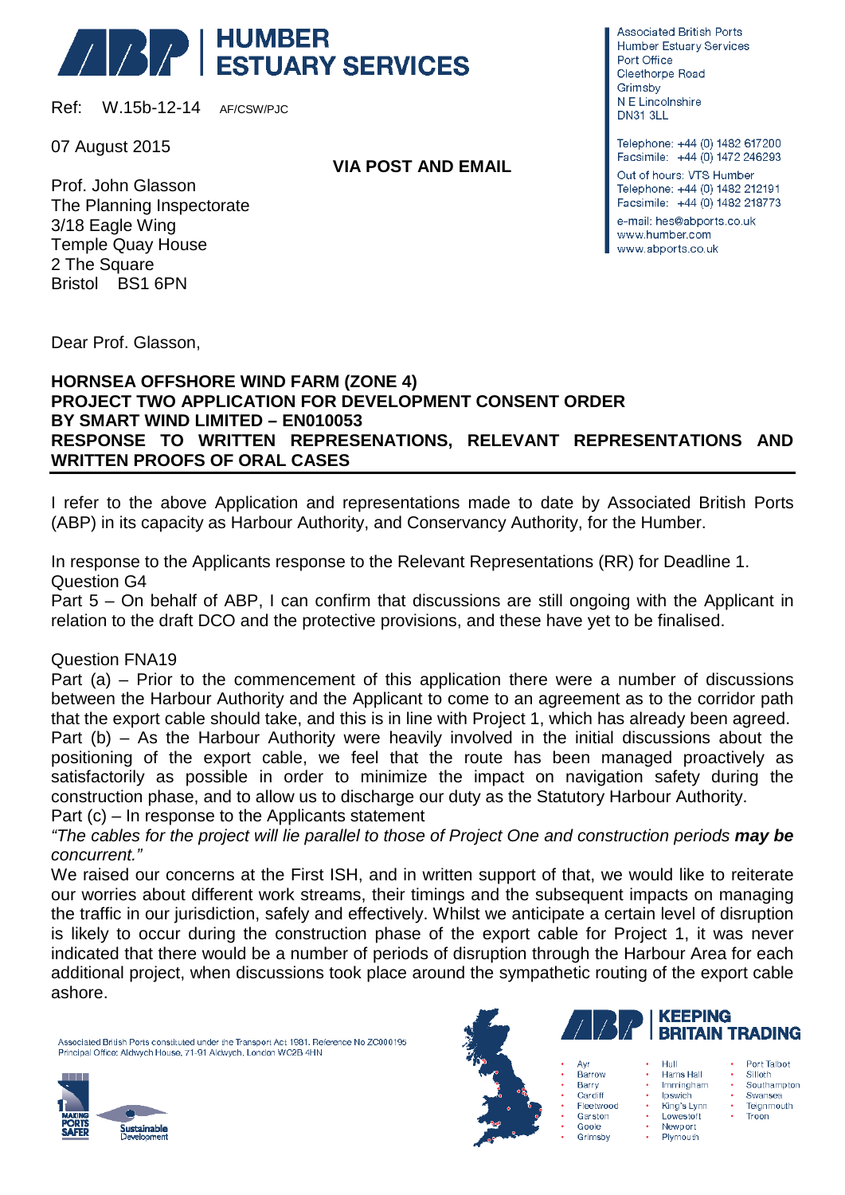## **ABRICATE HUMBER**<br>ABRICATE ESTUARY SERVICES

Ref: W.15b-12-14 AF/CSW/PJC

07 August 2015

Prof. John Glasson The Planning Inspectorate 3/18 Eagle Wing Temple Quay House 2 The Square Bristol BS1 6PN

**VIA POST AND EMAIL**

**Associated British Ports** Humber Estuary Services Port Office Cleethorpe Road Grimsby N F Lincolnshire **DN31 3LL** 

Telephone: +44 (0) 1482 617200 Facsimile: +44 (0) 1472 246293 Out of hours: VTS Humber Telephone: +44 (0) 1482 212191 Facsimile: +44 (0) 1482 218773 e-mail: hes@abports.co.uk www.humber.com www.abports.co.uk

Dear Prof. Glasson,

## **HORNSEA OFFSHORE WIND FARM (ZONE 4) PROJECT TWO APPLICATION FOR DEVELOPMENT CONSENT ORDER BY SMART WIND LIMITED – EN010053 RESPONSE TO WRITTEN REPRESENATIONS, RELEVANT REPRESENTATIONS AND WRITTEN PROOFS OF ORAL CASES**

I refer to the above Application and representations made to date by Associated British Ports (ABP) in its capacity as Harbour Authority, and Conservancy Authority, for the Humber.

In response to the Applicants response to the Relevant Representations (RR) for Deadline 1. Question G4

Part 5 – On behalf of ABP, I can confirm that discussions are still ongoing with the Applicant in relation to the draft DCO and the protective provisions, and these have yet to be finalised.

Question FNA19

Part (a) – Prior to the commencement of this application there were a number of discussions between the Harbour Authority and the Applicant to come to an agreement as to the corridor path that the export cable should take, and this is in line with Project 1, which has already been agreed. Part (b) – As the Harbour Authority were heavily involved in the initial discussions about the positioning of the export cable, we feel that the route has been managed proactively as satisfactorily as possible in order to minimize the impact on navigation safety during the construction phase, and to allow us to discharge our duty as the Statutory Harbour Authority. Part (c) – In response to the Applicants statement

*"The cables for the project will lie parallel to those of Project One and construction periods may be concurrent."*

We raised our concerns at the First ISH, and in written support of that, we would like to reiterate our worries about different work streams, their timings and the subsequent impacts on managing the traffic in our jurisdiction, safely and effectively. Whilst we anticipate a certain level of disruption is likely to occur during the construction phase of the export cable for Project 1, it was never indicated that there would be a number of periods of disruption through the Harbour Area for each additional project, when discussions took place around the sympathetic routing of the export cable ashore.

Associated British Ports constituted under the Transport Act 1981. Reference No ZC000195 Principal Office: Aldwych House, 71-91 Aldwych, London WC2B 4HN